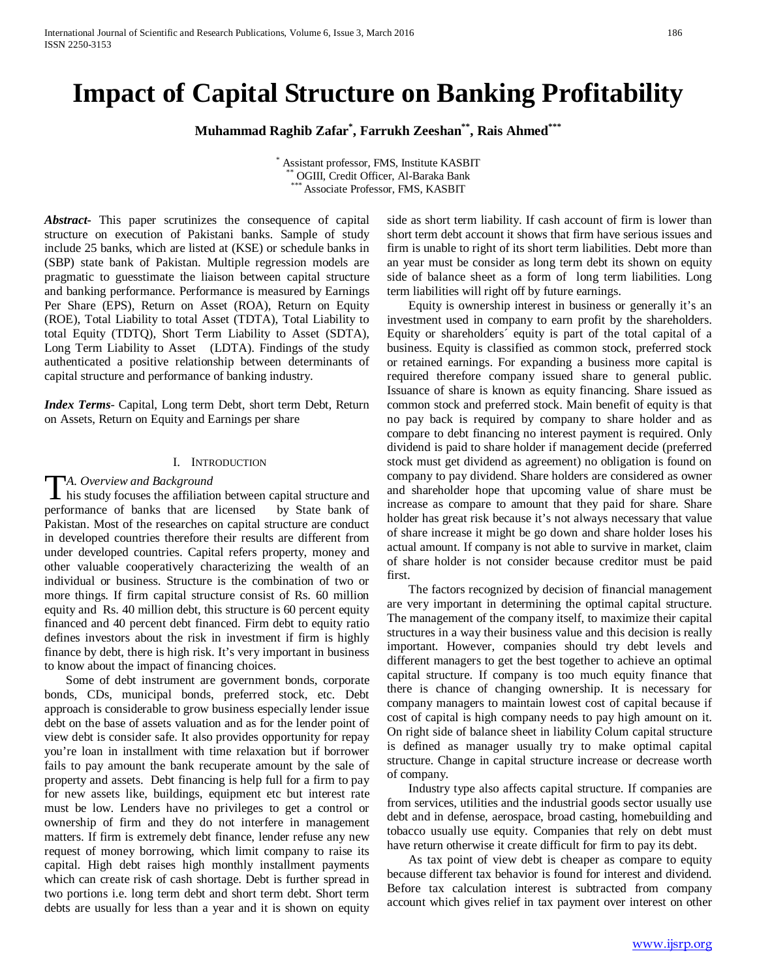# **Impact of Capital Structure on Banking Profitability**

**Muhammad Raghib Zafar\* , Farrukh Zeeshan\*\*, Rais Ahmed\*\*\***

\* Assistant professor, FMS, Institute KASBIT \*\* OGIII, Credit Officer, Al-Baraka Bank \*\*\* Associate Professor, FMS, KASBIT

*Abstract***-** This paper scrutinizes the consequence of capital structure on execution of Pakistani banks. Sample of study include 25 banks, which are listed at (KSE) or schedule banks in (SBP) state bank of Pakistan. Multiple regression models are pragmatic to guesstimate the liaison between capital structure and banking performance. Performance is measured by Earnings Per Share (EPS), Return on Asset (ROA), Return on Equity (ROE), Total Liability to total Asset (TDTA), Total Liability to total Equity (TDTQ), Short Term Liability to Asset (SDTA), Long Term Liability to Asset (LDTA). Findings of the study authenticated a positive relationship between determinants of capital structure and performance of banking industry.

*Index Terms*- Capital, Long term Debt, short term Debt, Return on Assets, Return on Equity and Earnings per share

#### I. INTRODUCTION

#### *A. Overview and Background*

TA. Overview and Background<br>his study focuses the affiliation between capital structure and<br> $\frac{1}{2}$ performance of banks that are licensed by State bank of Pakistan. Most of the researches on capital structure are conduct in developed countries therefore their results are different from under developed countries. Capital refers property, money and other valuable cooperatively characterizing the wealth of an individual or business. Structure is the combination of two or more things. If firm capital structure consist of Rs. 60 million equity and Rs. 40 million debt, this structure is 60 percent equity financed and 40 percent debt financed. Firm debt to equity ratio defines investors about the risk in investment if firm is highly finance by debt, there is high risk. It's very important in business to know about the impact of financing choices.

 Some of debt instrument are government bonds, corporate bonds, CDs, municipal bonds, preferred stock, etc. Debt approach is considerable to grow business especially lender issue debt on the base of assets valuation and as for the lender point of view debt is consider safe. It also provides opportunity for repay you're loan in installment with time relaxation but if borrower fails to pay amount the bank recuperate amount by the sale of property and assets. Debt financing is help full for a firm to pay for new assets like, buildings, equipment etc but interest rate must be low. Lenders have no privileges to get a control or ownership of firm and they do not interfere in management matters. If firm is extremely debt finance, lender refuse any new request of money borrowing, which limit company to raise its capital. High debt raises high monthly installment payments which can create risk of cash shortage. Debt is further spread in two portions i.e. long term debt and short term debt. Short term debts are usually for less than a year and it is shown on equity

side as short term liability. If cash account of firm is lower than short term debt account it shows that firm have serious issues and firm is unable to right of its short term liabilities. Debt more than an year must be consider as long term debt its shown on equity side of balance sheet as a form of long term liabilities. Long term liabilities will right off by future earnings.

 Equity is ownership interest in business or generally it's an investment used in company to earn profit by the shareholders. Equity or shareholders´ equity is part of the total capital of a business. Equity is classified as common stock, preferred stock or retained earnings. For expanding a business more capital is required therefore company issued share to general public. Issuance of share is known as equity financing. Share issued as common stock and preferred stock. Main benefit of equity is that no pay back is required by company to share holder and as compare to debt financing no interest payment is required. Only dividend is paid to share holder if management decide (preferred stock must get dividend as agreement) no obligation is found on company to pay dividend. Share holders are considered as owner and shareholder hope that upcoming value of share must be increase as compare to amount that they paid for share. Share holder has great risk because it's not always necessary that value of share increase it might be go down and share holder loses his actual amount. If company is not able to survive in market, claim of share holder is not consider because creditor must be paid first.

 The factors recognized by decision of financial management are very important in determining the optimal capital structure. The management of the company itself, to maximize their capital structures in a way their business value and this decision is really important. However, companies should try debt levels and different managers to get the best together to achieve an optimal capital structure. If company is too much equity finance that there is chance of changing ownership. It is necessary for company managers to maintain lowest cost of capital because if cost of capital is high company needs to pay high amount on it. On right side of balance sheet in liability Colum capital structure is defined as manager usually try to make optimal capital structure. Change in capital structure increase or decrease worth of company.

 Industry type also affects capital structure. If companies are from services, utilities and the industrial goods sector usually use debt and in defense, aerospace, broad casting, homebuilding and tobacco usually use equity. Companies that rely on debt must have return otherwise it create difficult for firm to pay its debt.

 As tax point of view debt is cheaper as compare to equity because different tax behavior is found for interest and dividend. Before tax calculation interest is subtracted from company account which gives relief in tax payment over interest on other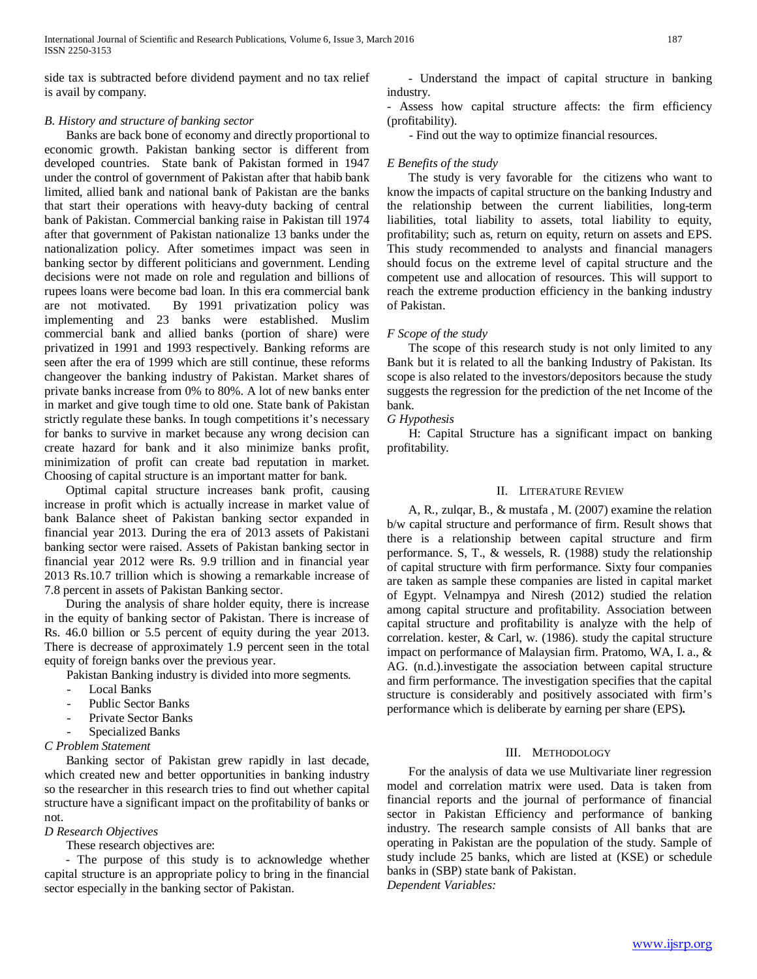side tax is subtracted before dividend payment and no tax relief is avail by company.

## *B. History and structure of banking sector*

 Banks are back bone of economy and directly proportional to economic growth. Pakistan banking sector is different from developed countries. State bank of Pakistan formed in 1947 under the control of government of Pakistan after that habib bank limited, allied bank and national bank of Pakistan are the banks that start their operations with heavy-duty backing of central bank of Pakistan. Commercial banking raise in Pakistan till 1974 after that government of Pakistan nationalize 13 banks under the nationalization policy. After sometimes impact was seen in banking sector by different politicians and government. Lending decisions were not made on role and regulation and billions of rupees loans were become bad loan. In this era commercial bank are not motivated. By 1991 privatization policy was implementing and 23 banks were established. Muslim commercial bank and allied banks (portion of share) were privatized in 1991 and 1993 respectively. Banking reforms are seen after the era of 1999 which are still continue, these reforms changeover the banking industry of Pakistan. Market shares of private banks increase from 0% to 80%. A lot of new banks enter in market and give tough time to old one. State bank of Pakistan strictly regulate these banks. In tough competitions it's necessary for banks to survive in market because any wrong decision can create hazard for bank and it also minimize banks profit, minimization of profit can create bad reputation in market. Choosing of capital structure is an important matter for bank.

 Optimal capital structure increases bank profit, causing increase in profit which is actually increase in market value of bank Balance sheet of Pakistan banking sector expanded in financial year 2013. During the era of 2013 assets of Pakistani banking sector were raised. Assets of Pakistan banking sector in financial year 2012 were Rs. 9.9 trillion and in financial year 2013 Rs.10.7 trillion which is showing a remarkable increase of 7.8 percent in assets of Pakistan Banking sector.

 During the analysis of share holder equity, there is increase in the equity of banking sector of Pakistan. There is increase of Rs. 46.0 billion or 5.5 percent of equity during the year 2013. There is decrease of approximately 1.9 percent seen in the total equity of foreign banks over the previous year.

Pakistan Banking industry is divided into more segments.

- Local Banks
- Public Sector Banks
- Private Sector Banks
- Specialized Banks

## *C Problem Statement*

 Banking sector of Pakistan grew rapidly in last decade, which created new and better opportunities in banking industry so the researcher in this research tries to find out whether capital structure have a significant impact on the profitability of banks or not.

#### *D Research Objectives*

These research objectives are:

 - The purpose of this study is to acknowledge whether capital structure is an appropriate policy to bring in the financial sector especially in the banking sector of Pakistan.

 - Understand the impact of capital structure in banking industry.

- Assess how capital structure affects: the firm efficiency (profitability).

- Find out the way to optimize financial resources.

## *E Benefits of the study*

 The study is very favorable for the citizens who want to know the impacts of capital structure on the banking Industry and the relationship between the current liabilities, long-term liabilities, total liability to assets, total liability to equity, profitability; such as, return on equity, return on assets and EPS. This study recommended to analysts and financial managers should focus on the extreme level of capital structure and the competent use and allocation of resources. This will support to reach the extreme production efficiency in the banking industry of Pakistan.

## *F Scope of the study*

 The scope of this research study is not only limited to any Bank but it is related to all the banking Industry of Pakistan. Its scope is also related to the investors/depositors because the study suggests the regression for the prediction of the net Income of the bank.

## *G Hypothesis*

 H: Capital Structure has a significant impact on banking profitability.

### II. LITERATURE REVIEW

 A, R., zulqar, B., & mustafa , M. (2007) examine the relation b/w capital structure and performance of firm. Result shows that there is a relationship between capital structure and firm performance. S, T., & wessels, R. (1988) study the relationship of capital structure with firm performance. Sixty four companies are taken as sample these companies are listed in capital market of Egypt. Velnampya and Niresh (2012) studied the relation among capital structure and profitability. Association between capital structure and profitability is analyze with the help of correlation. kester, & Carl, w. (1986). study the capital structure impact on performance of Malaysian firm. Pratomo, WA, I. a., & AG. (n.d.).investigate the association between capital structure and firm performance. The investigation specifies that the capital structure is considerably and positively associated with firm's performance which is deliberate by earning per share (EPS)**.**

### III. METHODOLOGY

 For the analysis of data we use Multivariate liner regression model and correlation matrix were used. Data is taken from financial reports and the journal of performance of financial sector in Pakistan Efficiency and performance of banking industry. The research sample consists of All banks that are operating in Pakistan are the population of the study. Sample of study include 25 banks, which are listed at (KSE) or schedule banks in (SBP) state bank of Pakistan. *Dependent Variables:*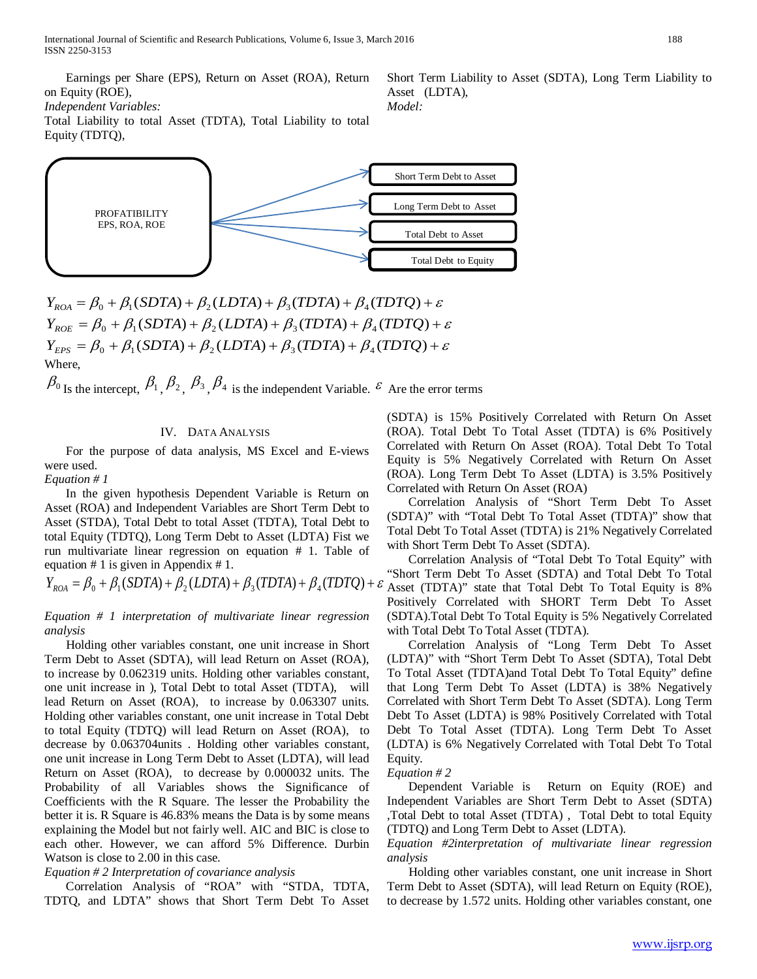Earnings per Share (EPS), Return on Asset (ROA), Return on Equity (ROE),

*Independent Variables:*

Total Liability to total Asset (TDTA), Total Liability to total Equity (TDTQ),



 $Y_{ROA} = \beta_0 + \beta_1 (SDTA) + \beta_2 (LDTA) + \beta_3 (TDTA) + \beta_4 (TDTO) + \varepsilon$  $Y_{ROE} = \beta_0 + \beta_1 (SDTA) + \beta_2 (LDTA) + \beta_3 (TDTA) + \beta_4 (TDTQ) + \varepsilon$  $Y_{EPS} = \beta_0 + \beta_1 (SDTA) + \beta_2 (LDTA) + \beta_3 (TDTA) + \beta_4 (TDTQ) + \varepsilon$ **Where** 

 $\beta_0$  Is the intercept,  $\beta_1$ ,  $\beta_2$ ,  $\beta_3$ ,  $\beta_4$  is the independent Variable.  $\varepsilon$  Are the error terms

## IV. DATA ANALYSIS

 For the purpose of data analysis, MS Excel and E-views were used.

*Equation # 1*

 In the given hypothesis Dependent Variable is Return on Asset (ROA) and Independent Variables are Short Term Debt to Asset (STDA), Total Debt to total Asset (TDTA), Total Debt to total Equity (TDTQ), Long Term Debt to Asset (LDTA) Fist we run multivariate linear regression on equation # 1. Table of equation # 1 is given in Appendix # 1.

 $Y_{ROA} = \beta_0 + \beta_1 (SDTA) + \beta_2 (LDTA) + \beta_3 (TDTA) + \beta_4 (TDTO) + \epsilon$  Asset (TDTA)" state that Total Debt To Total Equity is 8%

*Equation # 1 interpretation of multivariate linear regression analysis*

 Holding other variables constant, one unit increase in Short Term Debt to Asset (SDTA), will lead Return on Asset (ROA), to increase by 0.062319 units. Holding other variables constant, one unit increase in ), Total Debt to total Asset (TDTA), will lead Return on Asset (ROA), to increase by 0.063307 units. Holding other variables constant, one unit increase in Total Debt to total Equity (TDTQ) will lead Return on Asset (ROA), to decrease by 0.063704units . Holding other variables constant, one unit increase in Long Term Debt to Asset (LDTA), will lead Return on Asset (ROA), to decrease by 0.000032 units. The Probability of all Variables shows the Significance of Coefficients with the R Square. The lesser the Probability the better it is. R Square is 46.83% means the Data is by some means explaining the Model but not fairly well. AIC and BIC is close to each other. However, we can afford 5% Difference. Durbin Watson is close to 2.00 in this case.

## *Equation # 2 Interpretation of covariance analysis*

 Correlation Analysis of "ROA" with "STDA, TDTA, TDTQ, and LDTA" shows that Short Term Debt To Asset

(SDTA) is 15% Positively Correlated with Return On Asset (ROA). Total Debt To Total Asset (TDTA) is 6% Positively Correlated with Return On Asset (ROA). Total Debt To Total Equity is 5% Negatively Correlated with Return On Asset (ROA). Long Term Debt To Asset (LDTA) is 3.5% Positively Correlated with Return On Asset (ROA)

Short Term Liability to Asset (SDTA), Long Term Liability to

Asset (LDTA),

*Model:* 

 Correlation Analysis of "Short Term Debt To Asset (SDTA)" with "Total Debt To Total Asset (TDTA)" show that Total Debt To Total Asset (TDTA) is 21% Negatively Correlated with Short Term Debt To Asset (SDTA).

 Correlation Analysis of "Total Debt To Total Equity" with "Short Term Debt To Asset (SDTA) and Total Debt To Total Positively Correlated with SHORT Term Debt To Asset (SDTA).Total Debt To Total Equity is 5% Negatively Correlated with Total Debt To Total Asset (TDTA).

 Correlation Analysis of "Long Term Debt To Asset (LDTA)" with "Short Term Debt To Asset (SDTA), Total Debt To Total Asset (TDTA)and Total Debt To Total Equity" define that Long Term Debt To Asset (LDTA) is 38% Negatively Correlated with Short Term Debt To Asset (SDTA). Long Term Debt To Asset (LDTA) is 98% Positively Correlated with Total Debt To Total Asset (TDTA). Long Term Debt To Asset (LDTA) is 6% Negatively Correlated with Total Debt To Total Equity.

#### *Equation # 2*

 Dependent Variable is Return on Equity (ROE) and Independent Variables are Short Term Debt to Asset (SDTA) ,Total Debt to total Asset (TDTA) , Total Debt to total Equity (TDTQ) and Long Term Debt to Asset (LDTA).

*Equation #2interpretation of multivariate linear regression analysis*

 Holding other variables constant, one unit increase in Short Term Debt to Asset (SDTA), will lead Return on Equity (ROE), to decrease by 1.572 units. Holding other variables constant, one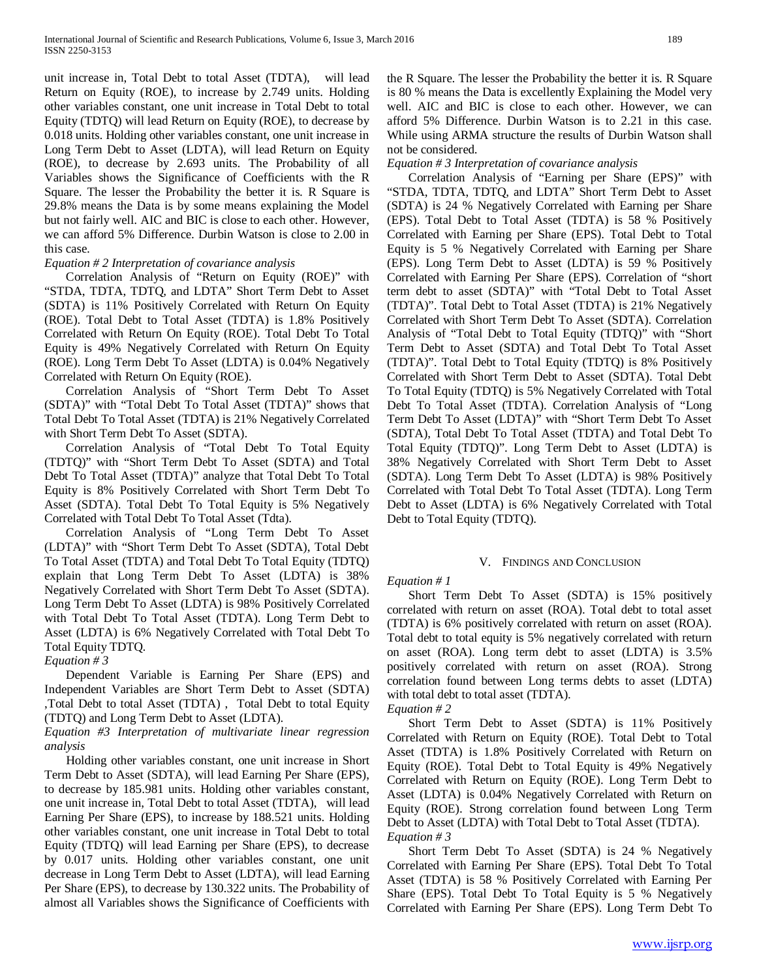unit increase in, Total Debt to total Asset (TDTA), will lead Return on Equity (ROE), to increase by 2.749 units. Holding other variables constant, one unit increase in Total Debt to total Equity (TDTQ) will lead Return on Equity (ROE), to decrease by 0.018 units. Holding other variables constant, one unit increase in Long Term Debt to Asset (LDTA), will lead Return on Equity (ROE), to decrease by 2.693 units. The Probability of all Variables shows the Significance of Coefficients with the R Square. The lesser the Probability the better it is. R Square is 29.8% means the Data is by some means explaining the Model but not fairly well. AIC and BIC is close to each other. However, we can afford 5% Difference. Durbin Watson is close to 2.00 in this case.

## *Equation # 2 Interpretation of covariance analysis*

 Correlation Analysis of "Return on Equity (ROE)" with "STDA, TDTA, TDTQ, and LDTA" Short Term Debt to Asset (SDTA) is 11% Positively Correlated with Return On Equity (ROE). Total Debt to Total Asset (TDTA) is 1.8% Positively Correlated with Return On Equity (ROE). Total Debt To Total Equity is 49% Negatively Correlated with Return On Equity (ROE). Long Term Debt To Asset (LDTA) is 0.04% Negatively Correlated with Return On Equity (ROE).

 Correlation Analysis of "Short Term Debt To Asset (SDTA)" with "Total Debt To Total Asset (TDTA)" shows that Total Debt To Total Asset (TDTA) is 21% Negatively Correlated with Short Term Debt To Asset (SDTA).

 Correlation Analysis of "Total Debt To Total Equity (TDTQ)" with "Short Term Debt To Asset (SDTA) and Total Debt To Total Asset (TDTA)" analyze that Total Debt To Total Equity is 8% Positively Correlated with Short Term Debt To Asset (SDTA). Total Debt To Total Equity is 5% Negatively Correlated with Total Debt To Total Asset (Tdta).

 Correlation Analysis of "Long Term Debt To Asset (LDTA)" with "Short Term Debt To Asset (SDTA), Total Debt To Total Asset (TDTA) and Total Debt To Total Equity (TDTQ) explain that Long Term Debt To Asset (LDTA) is 38% Negatively Correlated with Short Term Debt To Asset (SDTA). Long Term Debt To Asset (LDTA) is 98% Positively Correlated with Total Debt To Total Asset (TDTA). Long Term Debt to Asset (LDTA) is 6% Negatively Correlated with Total Debt To Total Equity TDTQ.

#### *Equation # 3*

 Dependent Variable is Earning Per Share (EPS) and Independent Variables are Short Term Debt to Asset (SDTA) ,Total Debt to total Asset (TDTA) , Total Debt to total Equity (TDTQ) and Long Term Debt to Asset (LDTA).

*Equation #3 Interpretation of multivariate linear regression analysis*

 Holding other variables constant, one unit increase in Short Term Debt to Asset (SDTA), will lead Earning Per Share (EPS), to decrease by 185.981 units. Holding other variables constant, one unit increase in, Total Debt to total Asset (TDTA), will lead Earning Per Share (EPS), to increase by 188.521 units. Holding other variables constant, one unit increase in Total Debt to total Equity (TDTQ) will lead Earning per Share (EPS), to decrease by 0.017 units. Holding other variables constant, one unit decrease in Long Term Debt to Asset (LDTA), will lead Earning Per Share (EPS), to decrease by 130.322 units. The Probability of almost all Variables shows the Significance of Coefficients with

the R Square. The lesser the Probability the better it is. R Square is 80 % means the Data is excellently Explaining the Model very well. AIC and BIC is close to each other. However, we can afford 5% Difference. Durbin Watson is to 2.21 in this case. While using ARMA structure the results of Durbin Watson shall not be considered.

#### *Equation # 3 Interpretation of covariance analysis*

 Correlation Analysis of "Earning per Share (EPS)" with "STDA, TDTA, TDTQ, and LDTA" Short Term Debt to Asset (SDTA) is 24 % Negatively Correlated with Earning per Share (EPS). Total Debt to Total Asset (TDTA) is 58 % Positively Correlated with Earning per Share (EPS). Total Debt to Total Equity is 5 % Negatively Correlated with Earning per Share (EPS). Long Term Debt to Asset (LDTA) is 59 % Positively Correlated with Earning Per Share (EPS). Correlation of "short term debt to asset (SDTA)" with "Total Debt to Total Asset (TDTA)". Total Debt to Total Asset (TDTA) is 21% Negatively Correlated with Short Term Debt To Asset (SDTA). Correlation Analysis of "Total Debt to Total Equity (TDTQ)" with "Short Term Debt to Asset (SDTA) and Total Debt To Total Asset (TDTA)". Total Debt to Total Equity (TDTQ) is 8% Positively Correlated with Short Term Debt to Asset (SDTA). Total Debt To Total Equity (TDTQ) is 5% Negatively Correlated with Total Debt To Total Asset (TDTA). Correlation Analysis of "Long Term Debt To Asset (LDTA)" with "Short Term Debt To Asset (SDTA), Total Debt To Total Asset (TDTA) and Total Debt To Total Equity (TDTQ)". Long Term Debt to Asset (LDTA) is 38% Negatively Correlated with Short Term Debt to Asset (SDTA). Long Term Debt To Asset (LDTA) is 98% Positively Correlated with Total Debt To Total Asset (TDTA). Long Term Debt to Asset (LDTA) is 6% Negatively Correlated with Total Debt to Total Equity (TDTQ).

#### V. FINDINGS AND CONCLUSION

### *Equation # 1*

 Short Term Debt To Asset (SDTA) is 15% positively correlated with return on asset (ROA). Total debt to total asset (TDTA) is 6% positively correlated with return on asset (ROA). Total debt to total equity is 5% negatively correlated with return on asset (ROA). Long term debt to asset (LDTA) is 3.5% positively correlated with return on asset (ROA). Strong correlation found between Long terms debts to asset (LDTA) with total debt to total asset (TDTA).

#### *Equation # 2*

 Short Term Debt to Asset (SDTA) is 11% Positively Correlated with Return on Equity (ROE). Total Debt to Total Asset (TDTA) is 1.8% Positively Correlated with Return on Equity (ROE). Total Debt to Total Equity is 49% Negatively Correlated with Return on Equity (ROE). Long Term Debt to Asset (LDTA) is 0.04% Negatively Correlated with Return on Equity (ROE). Strong correlation found between Long Term Debt to Asset (LDTA) with Total Debt to Total Asset (TDTA). *Equation # 3*

 Short Term Debt To Asset (SDTA) is 24 % Negatively Correlated with Earning Per Share (EPS). Total Debt To Total Asset (TDTA) is 58 % Positively Correlated with Earning Per Share (EPS). Total Debt To Total Equity is 5 % Negatively Correlated with Earning Per Share (EPS). Long Term Debt To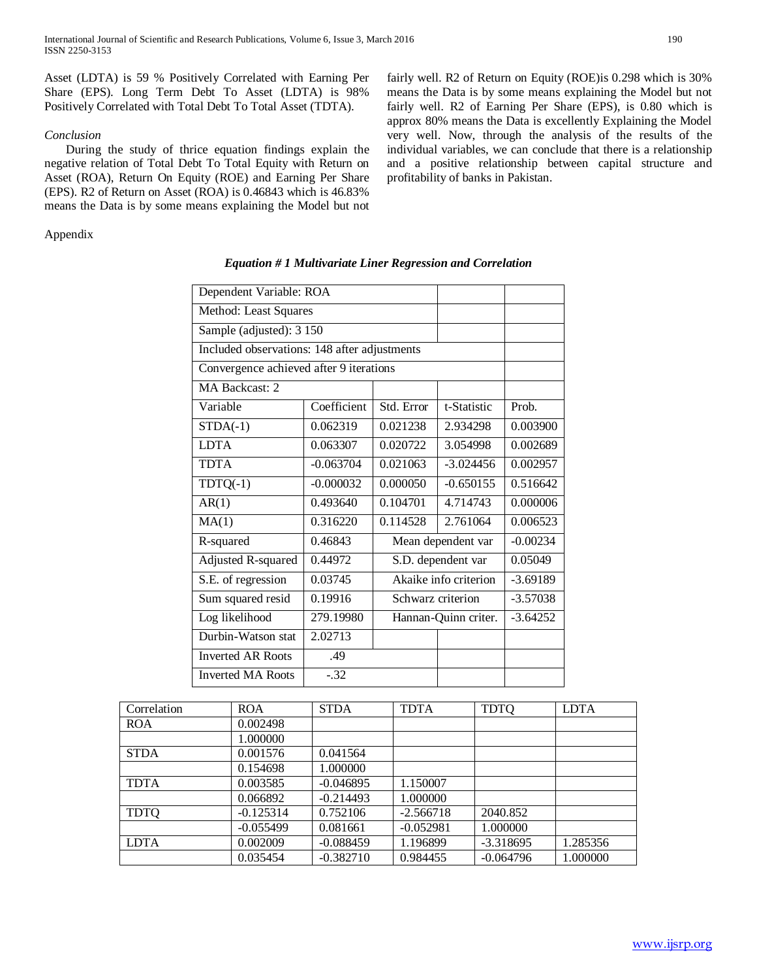Asset (LDTA) is 59 % Positively Correlated with Earning Per Share (EPS). Long Term Debt To Asset (LDTA) is 98% Positively Correlated with Total Debt To Total Asset (TDTA).

## *Conclusion*

 During the study of thrice equation findings explain the negative relation of Total Debt To Total Equity with Return on Asset (ROA), Return On Equity (ROE) and Earning Per Share (EPS). R2 of Return on Asset (ROA) is 0.46843 which is 46.83% means the Data is by some means explaining the Model but not

Appendix

| Dependent Variable: ROA                      |                              |                       |                    |            |
|----------------------------------------------|------------------------------|-----------------------|--------------------|------------|
| Method: Least Squares                        |                              |                       |                    |            |
| Sample (adjusted): 3 150                     |                              |                       |                    |            |
| Included observations: 148 after adjustments |                              |                       |                    |            |
| Convergence achieved after 9 iterations      |                              |                       |                    |            |
| MA Backcast: 2                               |                              |                       |                    |            |
| Variable                                     | Coefficient                  | Std. Error            | t-Statistic        | Prob.      |
| $STDA(-1)$                                   | 0.062319                     | 0.021238              | 2.934298           | 0.003900   |
| <b>LDTA</b>                                  | 0.063307                     | 0.020722              | 3.054998           | 0.002689   |
| <b>TDTA</b>                                  | $-0.063704$                  | 0.021063              | $-3.024456$        | 0.002957   |
| $TDTQ(-1)$                                   | $-0.000032$                  | 0.000050              | $-0.650155$        | 0.516642   |
| AR(1)                                        | 0.493640                     | 0.104701              | 4.714743           | 0.000006   |
| MA(1)                                        | 0.316220                     | 0.114528              | 2.761064           | 0.006523   |
| R-squared                                    | 0.46843                      |                       | Mean dependent var | $-0.00234$ |
| Adjusted R-squared                           | 0.44972                      |                       | S.D. dependent var | 0.05049    |
| S.E. of regression                           | 0.03745                      | Akaike info criterion |                    | $-3.69189$ |
| Sum squared resid                            | 0.19916<br>Schwarz criterion |                       |                    | $-3.57038$ |
| Log likelihood                               | 279.19980                    | Hannan-Quinn criter.  |                    | $-3.64252$ |
| Durbin-Watson stat                           | 2.02713                      |                       |                    |            |
| <b>Inverted AR Roots</b>                     | .49                          |                       |                    |            |
| <b>Inverted MA Roots</b>                     | $-.32$                       |                       |                    |            |

|  | Equation # 1 Multivariate Liner Regression and Correlation |  |  |
|--|------------------------------------------------------------|--|--|
|  |                                                            |  |  |

| Correlation | <b>ROA</b>  | <b>STDA</b> | <b>TDTA</b> | <b>TDTQ</b> | <b>LDTA</b> |
|-------------|-------------|-------------|-------------|-------------|-------------|
| <b>ROA</b>  | 0.002498    |             |             |             |             |
|             | 1.000000    |             |             |             |             |
| <b>STDA</b> | 0.001576    | 0.041564    |             |             |             |
|             | 0.154698    | 1.000000    |             |             |             |
| <b>TDTA</b> | 0.003585    | $-0.046895$ | 1.150007    |             |             |
|             | 0.066892    | $-0.214493$ | 1.000000    |             |             |
| <b>TDTQ</b> | $-0.125314$ | 0.752106    | $-2.566718$ | 2040.852    |             |
|             | $-0.055499$ | 0.081661    | $-0.052981$ | 1.000000    |             |
| <b>LDTA</b> | 0.002009    | $-0.088459$ | 1.196899    | $-3.318695$ | 1.285356    |
|             | 0.035454    | $-0.382710$ | 0.984455    | $-0.064796$ | 1.000000    |

fairly well. R2 of Return on Equity (ROE)is 0.298 which is 30% means the Data is by some means explaining the Model but not fairly well. R2 of Earning Per Share (EPS), is 0.80 which is approx 80% means the Data is excellently Explaining the Model very well. Now, through the analysis of the results of the individual variables, we can conclude that there is a relationship and a positive relationship between capital structure and

profitability of banks in Pakistan.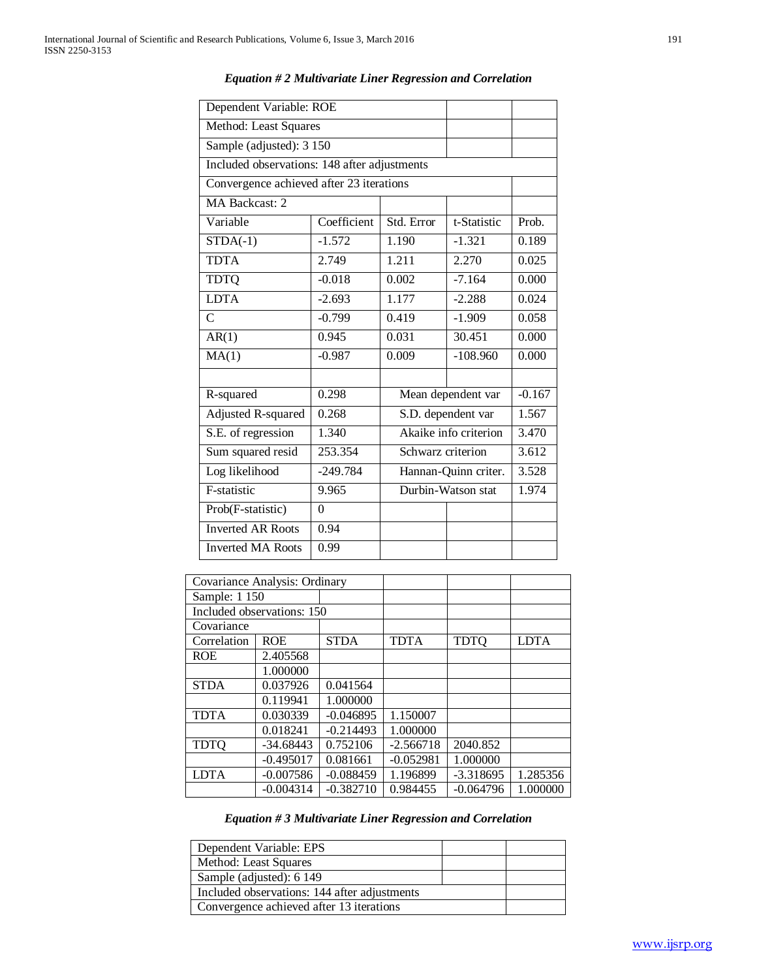| Dependent Variable: ROE                              |                              |                    |                       |          |  |
|------------------------------------------------------|------------------------------|--------------------|-----------------------|----------|--|
| Method: Least Squares                                |                              |                    |                       |          |  |
| Sample (adjusted): 3 150                             |                              |                    |                       |          |  |
| Included observations: 148 after adjustments         |                              |                    |                       |          |  |
| Convergence achieved after 23 iterations             |                              |                    |                       |          |  |
| MA Backcast: 2                                       |                              |                    |                       |          |  |
| Variable                                             | Coefficient                  | Std. Error         | t-Statistic           | Prob.    |  |
| $STDA(-1)$                                           | $-1.572$                     | 1.190              | $-1.321$              | 0.189    |  |
| <b>TDTA</b>                                          | 2.749                        | 1.211              | 2.270                 | 0.025    |  |
| <b>TDTQ</b>                                          | $-0.018$                     | 0.002              | $-7.164$              | 0.000    |  |
| <b>LDTA</b>                                          | $-2.693$                     | 1.177              | $-2.288$              | 0.024    |  |
| $\mathcal{C}$                                        | $-0.799$                     | 0.419              | $-1.909$              | 0.058    |  |
| AR(1)                                                | 0.945                        | 0.031              | 30.451                | 0.000    |  |
| MA(1)                                                | $-0.987$                     | 0.009              | $-108.960$            | 0.000    |  |
|                                                      |                              |                    |                       |          |  |
| R-squared                                            | 0.298                        |                    | Mean dependent var    | $-0.167$ |  |
| Adjusted R-squared                                   | 0.268                        |                    | S.D. dependent var    | 1.567    |  |
| S.E. of regression                                   | $\overline{1.340}$           |                    | Akaike info criterion | 3.470    |  |
| Sum squared resid                                    | 253.354<br>Schwarz criterion |                    |                       |          |  |
| Log likelihood<br>$-249.784$<br>Hannan-Quinn criter. |                              |                    |                       | 3.528    |  |
| F-statistic                                          | 9.965                        | Durbin-Watson stat | 1.974                 |          |  |
| Prob(F-statistic)                                    | $\theta$                     |                    |                       |          |  |
| <b>Inverted AR Roots</b>                             | 0.94                         |                    |                       |          |  |
| <b>Inverted MA Roots</b><br>0.99                     |                              |                    |                       |          |  |

*Equation # 2 Multivariate Liner Regression and Correlation*

| Covariance Analysis: Ordinary |                            |             |             |             |             |
|-------------------------------|----------------------------|-------------|-------------|-------------|-------------|
| Sample: 1 150                 |                            |             |             |             |             |
|                               | Included observations: 150 |             |             |             |             |
| Covariance                    |                            |             |             |             |             |
| Correlation                   | <b>ROE</b>                 | <b>STDA</b> | <b>TDTA</b> | <b>TDTO</b> | <b>LDTA</b> |
| <b>ROE</b>                    | 2.405568                   |             |             |             |             |
|                               | 1.000000                   |             |             |             |             |
| <b>STDA</b>                   | 0.037926                   | 0.041564    |             |             |             |
|                               | 0.119941                   | 1.000000    |             |             |             |
| <b>TDTA</b>                   | 0.030339                   | $-0.046895$ | 1.150007    |             |             |
|                               | 0.018241                   | $-0.214493$ | 1.000000    |             |             |
| <b>TDTQ</b>                   | $-34.68443$                | 0.752106    | $-2.566718$ | 2040.852    |             |
|                               | $-0.495017$                | 0.081661    | $-0.052981$ | 1.000000    |             |
| LDTA                          | $-0.007586$                | $-0.088459$ | 1.196899    | $-3.318695$ | 1.285356    |
|                               | $-0.004314$                | $-0.382710$ | 0.984455    | $-0.064796$ | 1.000000    |

## *Equation # 3 Multivariate Liner Regression and Correlation*

| Dependent Variable: EPS                      |  |
|----------------------------------------------|--|
| Method: Least Squares                        |  |
| Sample (adjusted): 6 149                     |  |
| Included observations: 144 after adjustments |  |
| Convergence achieved after 13 iterations     |  |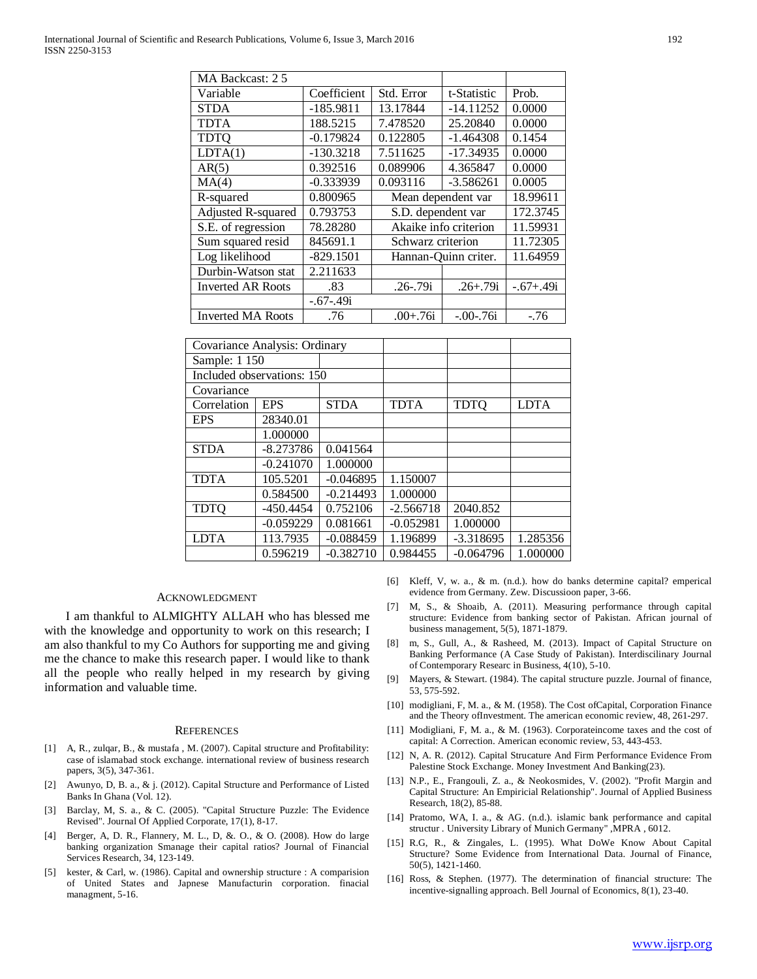| MA Backcast: 2.5         |             |                      |                       |             |
|--------------------------|-------------|----------------------|-----------------------|-------------|
| Variable                 | Coefficient | Std. Error           | t-Statistic           | Prob.       |
| <b>STDA</b>              | $-185.9811$ | 13.17844             | $-14.11252$           | 0.0000      |
| <b>TDTA</b>              | 188.5215    | 7.478520             | 25.20840              | 0.0000      |
| <b>TDTQ</b>              | $-0.179824$ | 0.122805             | $-1.464308$           | 0.1454      |
| LDTA(1)                  | $-130.3218$ | 7.511625             | $-17.34935$           | 0.0000      |
| AR(5)                    | 0.392516    | 0.089906             | 4.365847              | 0.0000      |
| MA(4)                    | $-0.333939$ | 0.093116             | $-3.586261$           | 0.0005      |
| R-squared                | 0.800965    | Mean dependent var   |                       | 18.99611    |
| Adjusted R-squared       | 0.793753    | S.D. dependent var   |                       | 172.3745    |
| S.E. of regression       | 78.28280    |                      | Akaike info criterion | 11.59931    |
| Sum squared resid        | 845691.1    | Schwarz criterion    |                       | 11.72305    |
| Log likelihood           | $-829.1501$ | Hannan-Quinn criter. |                       | 11.64959    |
| Durbin-Watson stat       | 2.211633    |                      |                       |             |
| <b>Inverted AR Roots</b> | .83         | $.26 - .79i$         | $.26 + .79i$          | $-.67+.49i$ |
|                          | $-.67-.49i$ |                      |                       |             |
| <b>Inverted MA Roots</b> | .76         | $.00 + .76i$         | $-.00-.76i$           | $-76$       |

| Covariance Analysis: Ordinary |                            |             |             |             |             |
|-------------------------------|----------------------------|-------------|-------------|-------------|-------------|
| Sample: 1 150                 |                            |             |             |             |             |
|                               | Included observations: 150 |             |             |             |             |
| Covariance                    |                            |             |             |             |             |
| Correlation                   | <b>EPS</b>                 | <b>STDA</b> | <b>TDTA</b> | <b>TDTQ</b> | <b>LDTA</b> |
| <b>EPS</b>                    | 28340.01                   |             |             |             |             |
|                               | 1.000000                   |             |             |             |             |
| <b>STDA</b>                   | $-8.273786$                | 0.041564    |             |             |             |
|                               | $-0.241070$                | 1.000000    |             |             |             |
| <b>TDTA</b>                   | 105.5201                   | $-0.046895$ | 1.150007    |             |             |
|                               | 0.584500                   | $-0.214493$ | 1.000000    |             |             |
| <b>TDTQ</b>                   | $-450.4454$                | 0.752106    | $-2.566718$ | 2040.852    |             |
|                               | $-0.059229$                | 0.081661    | $-0.052981$ | 1.000000    |             |
| LDTA                          | 113.7935                   | $-0.088459$ | 1.196899    | $-3.318695$ | 1.285356    |
|                               | 0.596219                   | $-0.382710$ | 0.984455    | $-0.064796$ | 1.000000    |

### ACKNOWLEDGMENT

 I am thankful to ALMIGHTY ALLAH who has blessed me with the knowledge and opportunity to work on this research; I am also thankful to my Co Authors for supporting me and giving me the chance to make this research paper. I would like to thank all the people who really helped in my research by giving information and valuable time.

#### **REFERENCES**

- [1] A, R., zulqar, B., & mustafa , M. (2007). Capital structure and Profitability: case of islamabad stock exchange. international review of business research papers, 3(5), 347-361.
- [2] Awunyo, D, B. a., & j. (2012). Capital Structure and Performance of Listed Banks In Ghana (Vol. 12).
- [3] Barclay, M, S. a., & C. (2005). "Capital Structure Puzzle: The Evidence Revised". Journal Of Applied Corporate, 17(1), 8-17.
- [4] Berger, A, D. R., Flannery, M. L., D, &. O., & O. (2008). How do large banking organization Smanage their capital ratios? Journal of Financial Services Research, 34, 123-149.
- [5] kester, & Carl, w. (1986). Capital and ownership structure : A comparision of United States and Japnese Manufacturin corporation. finacial managment, 5-16.
- [6] Kleff, V, w. a., & m. (n.d.). how do banks determine capital? emperical evidence from Germany. Zew. Discussioon paper, 3-66.
- [7] M, S., & Shoaib, A. (2011). Measuring performance through capital structure: Evidence from banking sector of Pakistan. African journal of business management, 5(5), 1871-1879.
- [8] m, S., Gull, A., & Rasheed, M. (2013). Impact of Capital Structure on Banking Performance (A Case Study of Pakistan). Interdiscilinary Journal of Contemporary Researc in Business, 4(10), 5-10.
- [9] Mayers, & Stewart. (1984). The capital structure puzzle. Journal of finance, 53, 575-592.
- [10] modigliani, F, M. a., & M. (1958). The Cost of Capital, Corporation Finance and the Theory ofInvestment. The american economic review, 48, 261-297.
- [11] Modigliani, F, M. a., & M. (1963). Corporateincome taxes and the cost of capital: A Correction. American economic review, 53, 443-453.
- [12] N, A. R. (2012). Capital Strucature And Firm Performance Evidence From Palestine Stock Exchange. Money Investment And Banking(23).
- [13] N.P., E., Frangouli, Z. a., & Neokosmides, V. (2002). "Profit Margin and Capital Structure: An Empiricial Relationship". Journal of Applied Business Research, 18(2), 85-88.
- [14] Pratomo, WA, I. a., & AG. (n.d.). islamic bank performance and capital structur . University Library of Munich Germany" ,MPRA , 6012.
- [15] R.G, R., & Zingales, L. (1995). What DoWe Know About Capital Structure? Some Evidence from International Data. Journal of Finance, 50(5), 1421-1460.
- [16] Ross, & Stephen. (1977). The determination of financial structure: The incentive-signalling approach. Bell Journal of Economics, 8(1), 23-40.